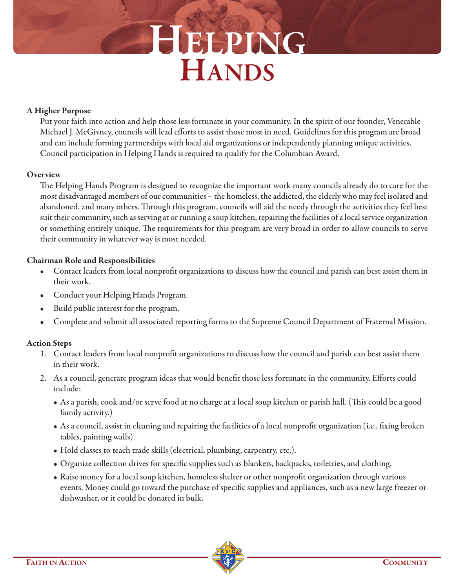# **HELPING HANDS**

### **A Higher Purpose**

Put your faith into action and help those less fortunate in your community. In the spirit of our founder, Venerable Michael J. McGivney, councils will lead efforts to assist those most in need. Guidelines for this program are broad and can include forming partnerships with local aid organizations or independently planning unique activities. Council participation in Helping Hands is required to qualify for the Columbian Award.

### **Overview**

The Helping Hands Program is designed to recognize the important work many councils already do to care for the most disadvantaged members of our communities – the homeless, the addicted, the elderly who may feel isolated and abandoned, and many others. Through this program, councils will aid the needy through the activities they feel best suit their community, such as serving at or running a soup kitchen, repairing the facilities of a local service organization or something entirely unique. The requirements for this program are very broad in order to allow councils to serve their community in whatever way is most needed.

# **Chairman Role and Responsibilities**

- Contact leaders from local nonprofit organizations to discuss how the council and parish can best assist them in their work.
- Conduct your Helping Hands Program.
- Build public interest for the program.
- Complete and submit all associated reporting forms to the Supreme Council Department of Fraternal Mission.

# **Action Steps**

- 1. Contact leaders from local nonprofit organizations to discuss how the council and parish can best assist them in their work.
- 2. As a council, generate program ideas that would benefit those less fortunate in the community. Efforts could include:
	- As a parish, cook and/or serve food at no charge at a local soup kitchen or parish hall. (This could be a good family activity.)
	- As a council, assist in cleaning and repairing the facilities of a local nonprofit organization (i.e., fixing broken tables, painting walls).
	- Hold classes to teach trade skills (electrical, plumbing, carpentry, etc.).
	- Organize collection drives for specific supplies such as blankets, backpacks, toiletries, and clothing.
	- Raise money for a local soup kitchen, homeless shelter or other nonprofit organization through various events. Money could go toward the purchase of specific supplies and appliances, such as a new large freezer or dishwasher, or it could be donated in bulk.